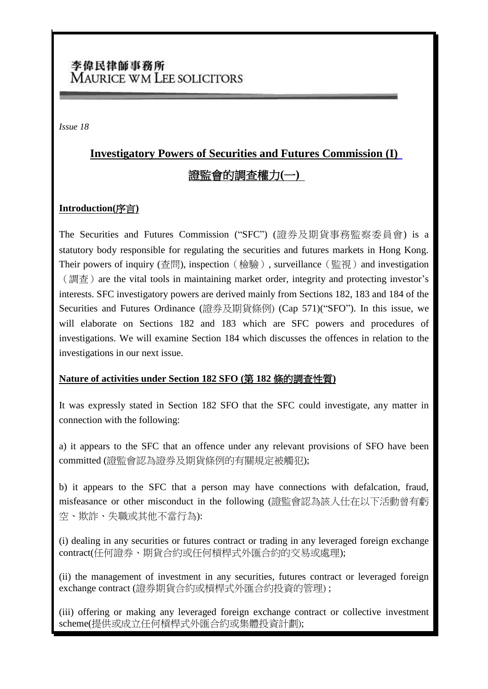## 李偉民律師事務所 **MAURICE WM LEE SOLICITORS**

*Issue 18*

# **Investigatory Powers of Securities and Futures Commission (I)** 證監會的調查權力**(**一**)**

#### **Introduction(**序言**)**

The Securities and Futures Commission ("SFC") ([證券及期貨事務監察委員會](http://www.sfc.hk/sfcPressRelease/TC/sfcOpenDocServlet?docno=10PR23)) is a statutory body responsible for regulating the securities and futures markets in Hong Kong. Their powers of inquiry (查問), inspection (檢驗), surveillance (監視) and investigation  $\mathcal{L}(\mathbb{H})$  are the vital tools in maintaining market order, integrity and protecting investor's interests. SFC investigatory powers are derived mainly from Sections 182, 183 and 184 of the Securities and Futures Ordinance (證券及期貨條例) (Cap 571)("SFO"). In this issue, we will elaborate on Sections 182 and 183 which are SFC powers and procedures of investigations. We will examine Section 184 which discusses the offences in relation to the investigations in our next issue.

#### **Nature of activities under Section 182 SFO (**第 **182** 條的調查性質**)**

It was expressly stated in Section 182 SFO that the SFC could investigate, any matter in connection with the following:

a) it appears to the SFC that an offence under any relevant provisions of SFO have been committed (證監會認為證券及期貨條例的有關規定被觸犯);

b) it appears to the SFC that a person may have connections with defalcation, fraud, misfeasance or other misconduct in the following (證監會認為該人仕在以下活動曾有虧 空、欺詐、失職或其他不當行為):

(i) dealing in any securities or futures contract or trading in any leveraged foreign exchange contract(任何證券、期貨合約或任何槓桿式外匯合約的交易或處理);

(ii) the management of investment in any securities, futures contract or leveraged foreign exchange contract (證券期貨合約或槓桿式外匯合約投資的管理) ;

(iii) offering or making any leveraged foreign exchange contract or collective investment scheme(提供或成立任何槓桿式外匯合約或集體投資計劃);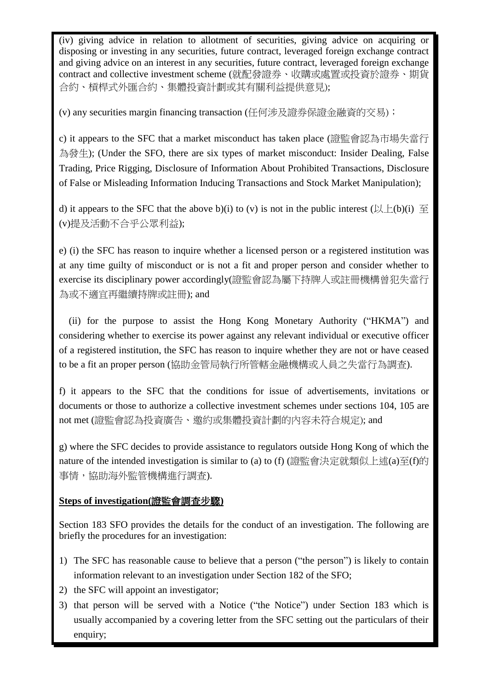(iv) giving advice in relation to allotment of securities, giving advice on acquiring or disposing or investing in any securities, future contract, leveraged foreign exchange contract and giving advice on an interest in any securities, future contract, leveraged foreign exchange contract and collective investment scheme (就配發證券、收購或處置或投資於證券、期貨 合約、槓桿式外匯合約、集體投資計劃或其有關利益提供意見);

(v) any securities margin financing transaction (任何涉及證券保證金融資的交易);

c) it appears to the SFC that a market misconduct has taken place (證監會認為市場失當行 為發生); (Under the SFO, there are six types of market misconduct: Insider Dealing, False Trading, Price Rigging, Disclosure of Information About Prohibited Transactions, Disclosure of False or Misleading Information Inducing Transactions and Stock Market Manipulation);

d) it appears to the SFC that the above b)(i) to (v) is not in the public interest  $(\& \pm(b)(i) \cong$ (v)提及活動不合乎公眾利益);

e) (i) the SFC has reason to inquire whether a licensed person or a registered institution was at any time guilty of misconduct or is not a fit and proper person and consider whether to exercise its disciplinary power accordingly(證監會認為屬下持牌人或註冊機構曾犯失當行 為或不適宜再繼續持牌或註冊); and

(ii) for the purpose to assist the Hong Kong Monetary Authority ("HKMA") and considering whether to exercise its power against any relevant individual or executive officer of a registered institution, the SFC has reason to inquire whether they are not or have ceased to be a fit an proper person (協助金管局執行所管轄金融機構或人員之失當行為調查).

f) it appears to the SFC that the conditions for issue of advertisements, invitations or documents or those to authorize a collective investment schemes under sections 104, 105 are not met (證監會認為投資廣告、邀約或集體投資計劃的內容未符合規定); and

g) where the SFC decides to provide assistance to regulators outside Hong Kong of which the nature of the intended investigation is similar to (a) to (f) (證監會決定就類似上述(a)至(f)的 事情,協助海外監管機構進行調查).

### **Steps of investigation(**證監會調查步驟**)**

Section 183 SFO provides the details for the conduct of an investigation. The following are briefly the procedures for an investigation:

- 1) The SFC has reasonable cause to believe that a person ("the person") is likely to contain information relevant to an investigation under Section 182 of the SFO;
- 2) the SFC will appoint an investigator;
- 3) that person will be served with a Notice ("the Notice") under Section 183 which is usually accompanied by a covering letter from the SFC setting out the particulars of their enquiry;